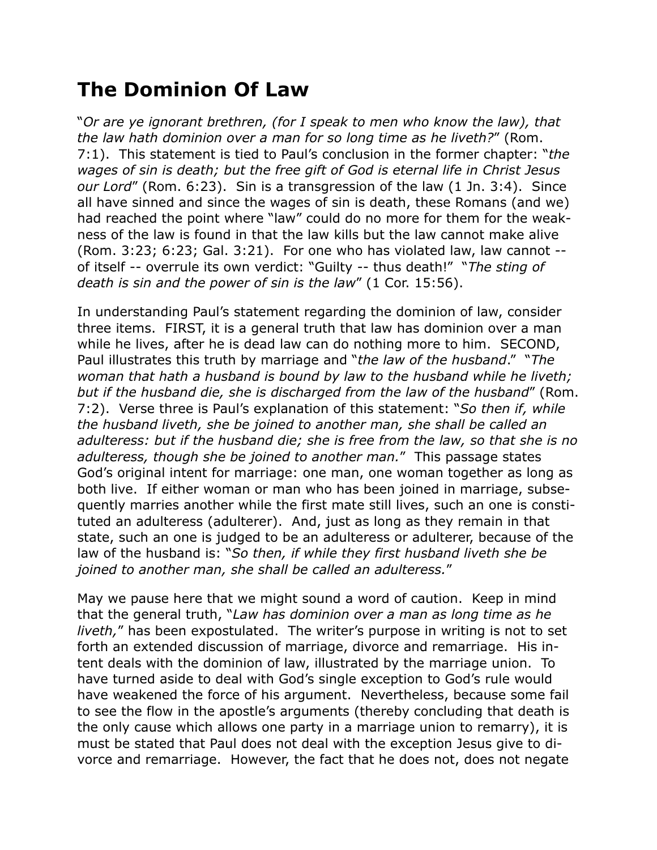## **The Dominion Of Law**

"*Or are ye ignorant brethren, (for I speak to men who know the law), that the law hath dominion over a man for so long time as he liveth?*" (Rom. 7:1). This statement is tied to Paul's conclusion in the former chapter: "*the wages of sin is death; but the free gift of God is eternal life in Christ Jesus our Lord*" (Rom. 6:23). Sin is a transgression of the law (1 Jn. 3:4). Since all have sinned and since the wages of sin is death, these Romans (and we) had reached the point where "law" could do no more for them for the weakness of the law is found in that the law kills but the law cannot make alive (Rom. 3:23; 6:23; Gal. 3:21). For one who has violated law, law cannot - of itself -- overrule its own verdict: "Guilty -- thus death!" "*The sting of death is sin and the power of sin is the law*" (1 Cor. 15:56).

In understanding Paul's statement regarding the dominion of law, consider three items. FIRST, it is a general truth that law has dominion over a man while he lives, after he is dead law can do nothing more to him. SECOND, Paul illustrates this truth by marriage and "*the law of the husband*." "*The woman that hath a husband is bound by law to the husband while he liveth; but if the husband die, she is discharged from the law of the husband*" (Rom. 7:2). Verse three is Paul's explanation of this statement: "*So then if, while the husband liveth, she be joined to another man, she shall be called an adulteress: but if the husband die; she is free from the law, so that she is no adulteress, though she be joined to another man.*" This passage states God's original intent for marriage: one man, one woman together as long as both live. If either woman or man who has been joined in marriage, subsequently marries another while the first mate still lives, such an one is constituted an adulteress (adulterer). And, just as long as they remain in that state, such an one is judged to be an adulteress or adulterer, because of the law of the husband is: "*So then, if while they first husband liveth she be joined to another man, she shall be called an adulteress.*"

May we pause here that we might sound a word of caution. Keep in mind that the general truth, "*Law has dominion over a man as long time as he liveth,*" has been expostulated. The writer's purpose in writing is not to set forth an extended discussion of marriage, divorce and remarriage. His intent deals with the dominion of law, illustrated by the marriage union. To have turned aside to deal with God's single exception to God's rule would have weakened the force of his argument. Nevertheless, because some fail to see the flow in the apostle's arguments (thereby concluding that death is the only cause which allows one party in a marriage union to remarry), it is must be stated that Paul does not deal with the exception Jesus give to divorce and remarriage. However, the fact that he does not, does not negate